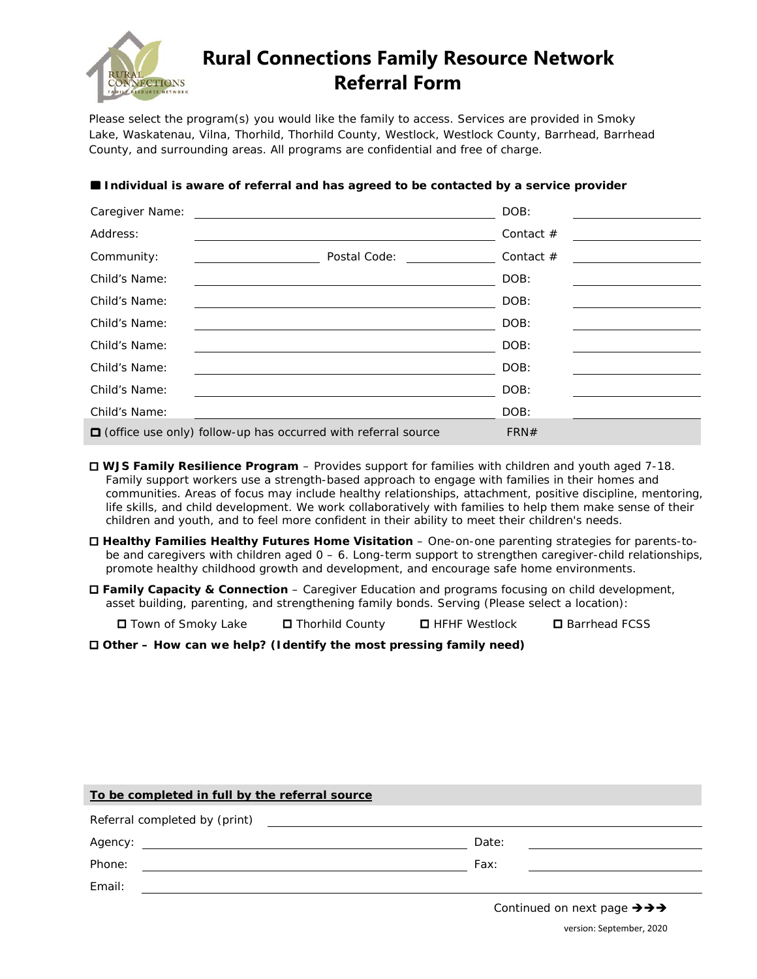

## **Rural Connections Family Resource Network Referral Form**

Please select the program(s) you would like the family to access. Services are provided in Smoky Lake, Waskatenau, Vilna, Thorhild, Thorhild County, Westlock, Westlock County, Barrhead, Barrhead County, and surrounding areas. All programs are confidential and free of charge.

| Caregiver Name: | <u> 1989 - Johann Stein, markin sanat masjid a shekara ta 1989 - An tsara ta 1989 - An tsara ta 1989 - An tsara</u> | DOB:        |  |  |
|-----------------|---------------------------------------------------------------------------------------------------------------------|-------------|--|--|
| Address:        |                                                                                                                     | Contact $#$ |  |  |
| Community:      | Postal Code:                                                                                                        | Contact $#$ |  |  |
| Child's Name:   |                                                                                                                     | DOB:        |  |  |
| Child's Name:   |                                                                                                                     | DOB:        |  |  |
| Child's Name:   |                                                                                                                     | DOB:        |  |  |
| Child's Name:   |                                                                                                                     | DOB:        |  |  |
| Child's Name:   |                                                                                                                     | DOB:        |  |  |
| Child's Name:   |                                                                                                                     | DOB:        |  |  |
| Child's Name:   |                                                                                                                     | DOB:        |  |  |
|                 | $\Box$ (office use only) follow-up has occurred with referral source                                                | FRN#        |  |  |

## **Individual is aware of referral and has agreed to be contacted by a service provider**

 **WJS Family Resilience Program** – Provides support for families with children and youth aged 7-18. Family support workers use a strength-based approach to engage with families in their homes and communities. Areas of focus may include healthy relationships, attachment, positive discipline, mentoring, life skills, and child development. We work collaboratively with families to help them make sense of their children and youth, and to feel more confident in their ability to meet their children's needs.

 **Healthy Families Healthy Futures Home Visitation** – One-on-one parenting strategies for parents-tobe and caregivers with children aged  $0 - 6$ . Long-term support to strengthen caregiver-child relationships, promote healthy childhood growth and development, and encourage safe home environments.

 **Family Capacity & Connection** – Caregiver Education and programs focusing on child development, asset building, parenting, and strengthening family bonds. Serving (Please select a location):

Town of Smoky Lake Thorhild County HFHF Westlock Barrhead FCSS

**Other – How can we help? (Identify the most pressing family need)**

| To be completed in full by the referral source                                                                 |  |  |       |  |  |  |
|----------------------------------------------------------------------------------------------------------------|--|--|-------|--|--|--|
| Referral completed by (print) The Common Common Common Common Common Common Common Common Common Common Common |  |  |       |  |  |  |
| Agency:                                                                                                        |  |  | Date: |  |  |  |
| Phone:                                                                                                         |  |  | Fax:  |  |  |  |
| Email:                                                                                                         |  |  |       |  |  |  |
|                                                                                                                |  |  |       |  |  |  |

version: September, 2020